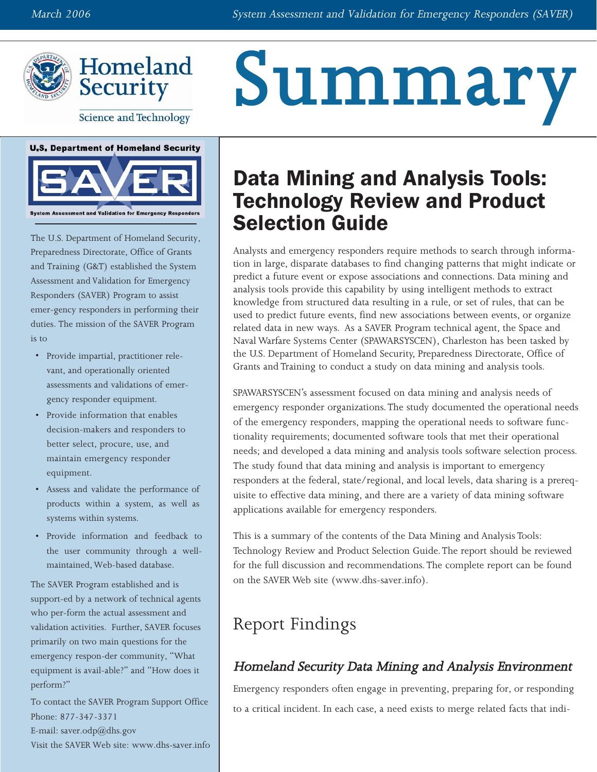Summary





**Science and Technology** 





The U.S. Department of Homeland Security, Preparedness Directorate, Office of Grants and Training (G&T) established the System Assessment and Validation for Emergency Responders (SAVER) Program to assist emer-gency responders in performing their duties. The mission of the SAVER Program is to

- Provide impartial, practitioner relevant, and operationally oriented assessments and validations of emergency responder equipment.
- Provide information that enables decision-makers and responders to better select, procure, use, and maintain emergency responder equipment.
- Assess and validate the performance of products within a system, as well as systems within systems.
- Provide information and feedback to the user community through a wellmaintained, Web-based database.

The SAVER Program established and is support-ed by a network of technical agents who per-form the actual assessment and validation activities. Further, SAVER focuses primarily on two main questions for the emergency respon-der community, "What equipment is avail-able?" and "How does it perform?"

To contact the SAVER Program Support Office Phone: 877-347-3371 E-mail: saver.odp $@d$ hs.gov Visit the SAVER Web site: [www.dhs-saver.info](http://www.dhs-saver.info)

# Data Mining and Analysis Tools: Technology Review and Product Selection Guide

Analysts and emergency responders require methods to search through information in large, disparate databases to find changing patterns that might indicate or predict a future event or expose associations and connections. Data mining and analysis tools provide this capability by using intelligent methods to extract knowledge from structured data resulting in a rule, or set of rules, that can be used to predict future events, find new associations between events, or organize related data in new ways. As a SAVER Program technical agent, the Space and Naval Warfare Systems Center (SPAWARSYSCEN), Charleston has been tasked by the U.S. Department of Homeland Security, Preparedness Directorate, Office of Grants and Training to conduct a study on data mining and analysis tools.

SPAWARSYSCEN's assessment focused on data mining and analysis needs of emergency responder organizations. The study documented the operational needs of the emergency responders, mapping the operational needs to software functionality requirements; documented software tools that met their operational needs; and developed a data mining and analysis tools software selection process. The study found that data mining and analysis is important to emergency responders at the federal, state/regional, and local levels, data sharing is a prerequisite to effective data mining, and there are a variety of data mining software applications available for emergency responders.

This is a summary of the contents of the Data Mining and Analysis Tools: Technology Review and Product Selection Guide.The report should be reviewed for the full discussion and recommendations. The complete report can be found on the SAVER Web site (www.dhs-saver.info).

## Report Findings

### Homeland Security Data Mining and Analysis Environment

Emergency responders often engage in preventing, preparing for, or responding to a critical incident. In each case, a need exists to merge related facts that indi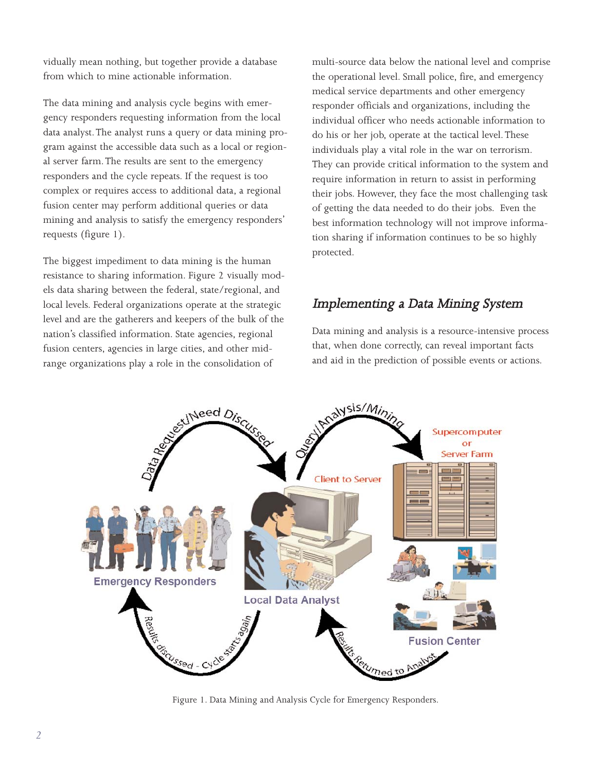vidually mean nothing, but together provide a database from which to mine actionable information.

The data mining and analysis cycle begins with emergency responders requesting information from the local data analyst. The analyst runs a query or data mining program against the accessible data such as a local or regional server farm.The results are sent to the emergency responders and the cycle repeats. If the request is too complex or requires access to additional data, a regional fusion center may perform additional queries or data mining and analysis to satisfy the emergency responders' requests (figure 1).

The biggest impediment to data mining is the human resistance to sharing information. Figure 2 visually models data sharing between the federal, state/regional, and local levels. Federal organizations operate at the strategic level and are the gatherers and keepers of the bulk of the nation's classified information. State agencies, regional fusion centers, agencies in large cities, and other midrange organizations play a role in the consolidation of

multi-source data below the national level and comprise the operational level. Small police, fire, and emergency medical service departments and other emergency responder officials and organizations, including the individual officer who needs actionable information to do his or her job, operate at the tactical level.These individuals play a vital role in the war on terrorism. They can provide critical information to the system and require information in return to assist in performing their jobs. However, they face the most challenging task of getting the data needed to do their jobs. Even the best information technology will not improve information sharing if information continues to be so highly protected.

#### Implementing a Data Mining System

Data mining and analysis is a resource-intensive process that, when done correctly, can reveal important facts and aid in the prediction of possible events or actions.



Figure 1. Data Mining and Analysis Cycle for Emergency Responders.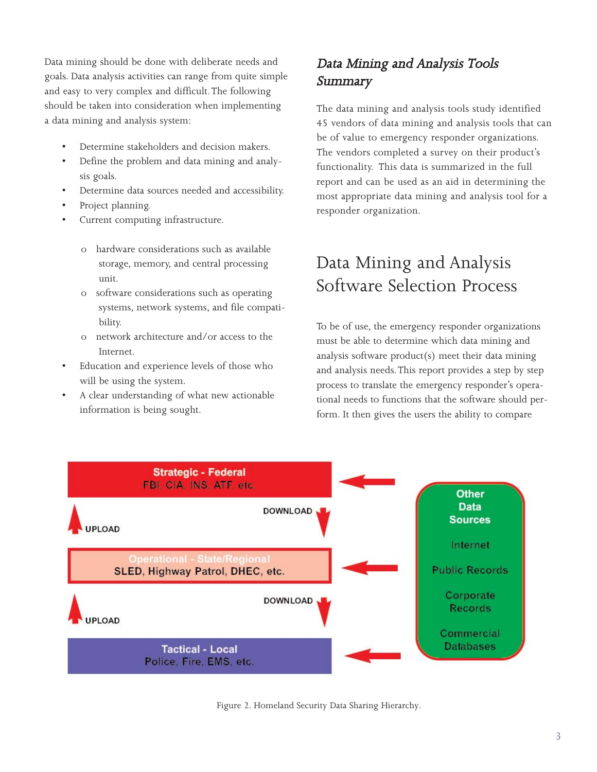Data mining should be done with deliberate needs and goals. Data analysis activities can range from quite simple and easy to very complex and difficult.The following should be taken into consideration when implementing a data mining and analysis system:

- Determine stakeholders and decision makers.
- Define the problem and data mining and analysis goals.
- Determine data sources needed and accessibility.
- Project planning.
- Current computing infrastructure.
	- o hardware considerations such as available storage, memory, and central processing unit.
	- o software considerations such as operating systems, network systems, and file compatibility.
	- o network architecture and/or access to the Internet.
- Education and experience levels of those who will be using the system.
- A clear understanding of what new actionable information is being sought.

### Data Mining and Analysis Tools Summary

The data mining and analysis tools study identified 45 vendors of data mining and analysis tools that can be of value to emergency responder organizations. The vendors completed a survey on their product's functionality. This data is summarized in the full report and can be used as an aid in determining the most appropriate data mining and analysis tool for a responder organization.

## Data Mining and Analysis Software Selection Process

To be of use, the emergency responder organizations must be able to determine which data mining and analysis software product(s) meet their data mining and analysis needs. This report provides a step by step process to translate the emergency responder's operational needs to functions that the software should perform. It then gives the users the ability to compare



Figure 2. Homeland Security Data Sharing Hierarchy.